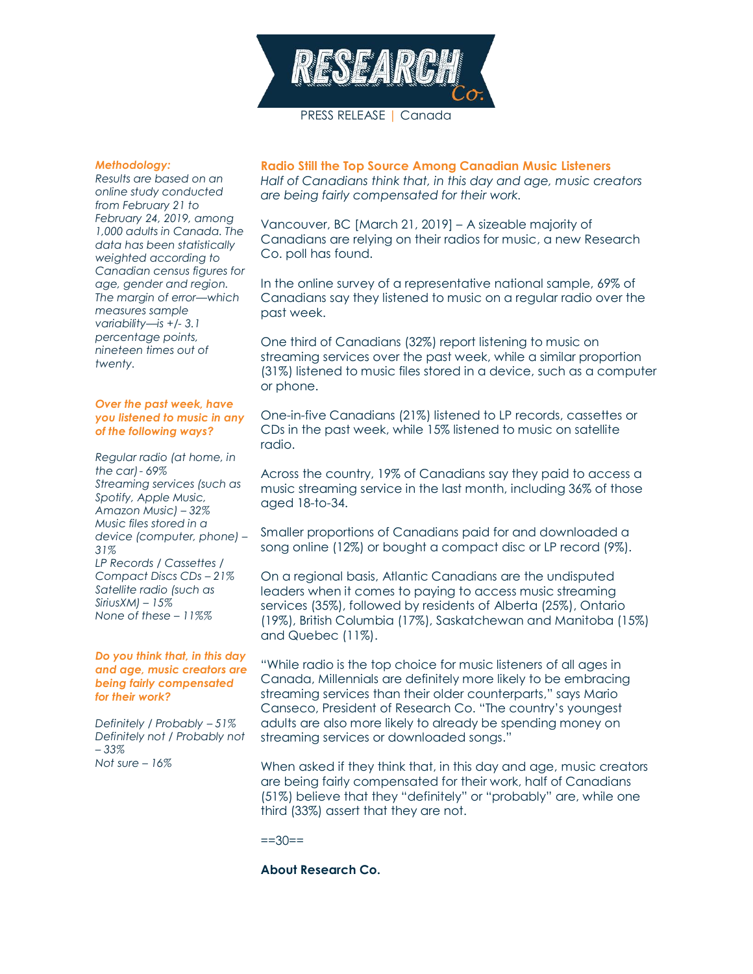

PRESS RELEASE | Canada

#### *Methodology:*

*Results are based on an online study conducted from February 21 to February 24, 2019, among 1,000 adults in Canada. The data has been statistically weighted according to Canadian census figures for age, gender and region. The margin of error—which measures sample variability—is +/- 3.1 percentage points, nineteen times out of twenty.*

## *Over the past week, have you listened to music in any of the following ways?*

*Regular radio (at home, in the car)- 69% Streaming services (such as Spotify, Apple Music, Amazon Music) – 32% Music files stored in a device (computer, phone) – 31% LP Records / Cassettes / Compact Discs CDs – 21% Satellite radio (such as SiriusXM) – 15% None of these – 11%%*

#### *Do you think that, in this day and age, music creators are being fairly compensated for their work?*

*Definitely / Probably – 51% Definitely not / Probably not – 33% Not sure – 16%*

### **Radio Still the Top Source Among Canadian Music Listeners**

*Half of Canadians think that, in this day and age, music creators are being fairly compensated for their work.*

Vancouver, BC [March 21, 2019] – A sizeable majority of Canadians are relying on their radios for music, a new Research Co. poll has found.

In the online survey of a representative national sample, 69% of Canadians say they listened to music on a regular radio over the past week.

One third of Canadians (32%) report listening to music on streaming services over the past week, while a similar proportion (31%) listened to music files stored in a device, such as a computer or phone.

One-in-five Canadians (21%) listened to LP records, cassettes or CDs in the past week, while 15% listened to music on satellite radio.

Across the country, 19% of Canadians say they paid to access a music streaming service in the last month, including 36% of those aged 18-to-34.

Smaller proportions of Canadians paid for and downloaded a song online (12%) or bought a compact disc or LP record (9%).

On a regional basis, Atlantic Canadians are the undisputed leaders when it comes to paying to access music streaming services (35%), followed by residents of Alberta (25%), Ontario (19%), British Columbia (17%), Saskatchewan and Manitoba (15%) and Quebec (11%).

"While radio is the top choice for music listeners of all ages in Canada, Millennials are definitely more likely to be embracing streaming services than their older counterparts," says Mario Canseco, President of Research Co. "The country's youngest adults are also more likely to already be spending money on streaming services or downloaded songs."

When asked if they think that, in this day and age, music creators are being fairly compensated for their work, half of Canadians (51%) believe that they "definitely" or "probably" are, while one third (33%) assert that they are not.

 $==30==$ 

## **About Research Co.**